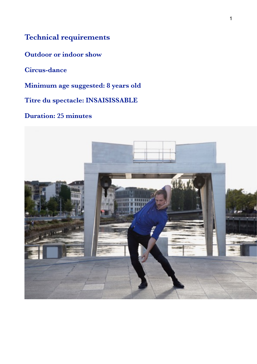# **Technical requirements**

**Outdoor or indoor show**

**Circus-dance**

**Minimum age suggested: 8 years old**

**Titre du spectacle: INSAISISSABLE**

### **Duration: 25 minutes**

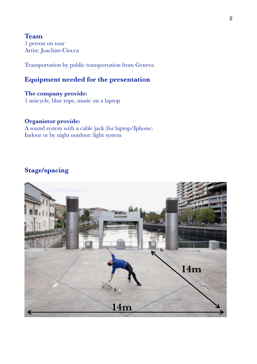**Team** 1 person on tour Artist: Joachim Ciocca

Transportation by public transportation from Geneva

### **Equipment needed for the presentation**

**The company provide:** 1 unicycle, blue rope, music on a laptop

#### **Organistor provide:**

A sound system with a cable jack (for laptop/Iphone) Indoor or by night outdoor: light system

## **Stage/spacing**

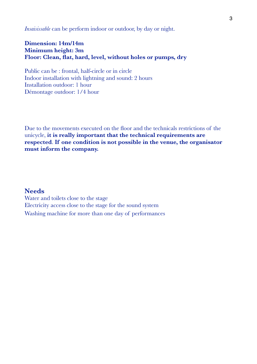*Insaisissable* can be perform indoor or outdoor, by day or night.

#### **Dimension: 14m/14m Minimum height: 3m Floor: Clean, flat, hard, level, without holes or pumps, dry**

Public can be : frontal, half-circle or in circle Indoor installation with lightning and sound: 2 hours Installation outdoor: 1 hour Démontage outdoor: 1/4 hour

Due to the movements executed on the floor and the technicals restrictions of the unicycle, **it is really important that the technical requirements are respected**. **If one condition is not possible in the venue, the organisator must inform the company.** 

#### **Needs**

Water and toilets close to the stage Electricity access close to the stage for the sound system Washing machine for more than one day of performances